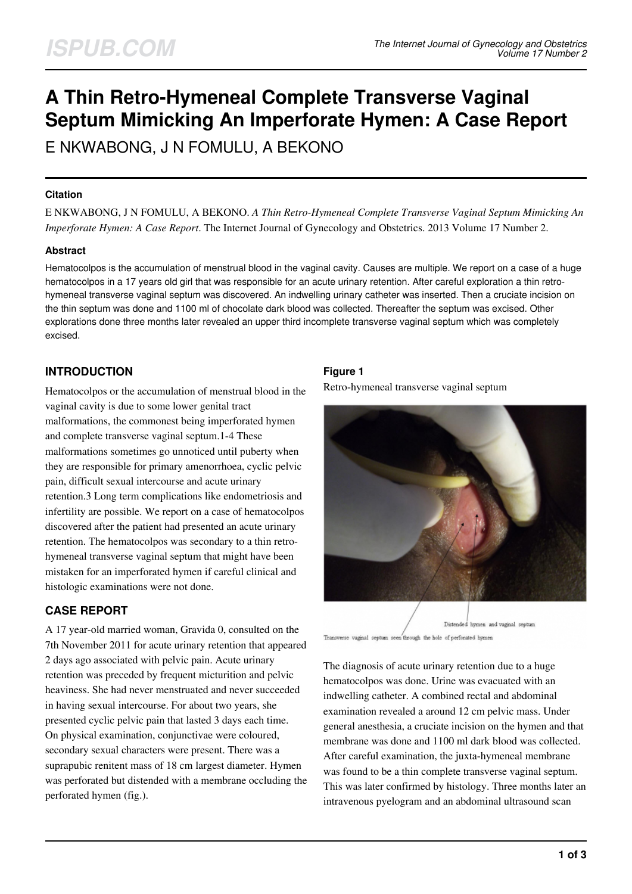# **A Thin Retro-Hymeneal Complete Transverse Vaginal Septum Mimicking An Imperforate Hymen: A Case Report**

E NKWABONG, J N FOMULU, A BEKONO

#### **Citation**

E NKWABONG, J N FOMULU, A BEKONO. *A Thin Retro-Hymeneal Complete Transverse Vaginal Septum Mimicking An Imperforate Hymen: A Case Report*. The Internet Journal of Gynecology and Obstetrics. 2013 Volume 17 Number 2.

#### **Abstract**

Hematocolpos is the accumulation of menstrual blood in the vaginal cavity. Causes are multiple. We report on a case of a huge hematocolpos in a 17 years old girl that was responsible for an acute urinary retention. After careful exploration a thin retrohymeneal transverse vaginal septum was discovered. An indwelling urinary catheter was inserted. Then a cruciate incision on the thin septum was done and 1100 ml of chocolate dark blood was collected. Thereafter the septum was excised. Other explorations done three months later revealed an upper third incomplete transverse vaginal septum which was completely excised.

# **INTRODUCTION**

Hematocolpos or the accumulation of menstrual blood in the vaginal cavity is due to some lower genital tract malformations, the commonest being imperforated hymen and complete transverse vaginal septum.1-4 These malformations sometimes go unnoticed until puberty when they are responsible for primary amenorrhoea, cyclic pelvic pain, difficult sexual intercourse and acute urinary retention.3 Long term complications like endometriosis and infertility are possible. We report on a case of hematocolpos discovered after the patient had presented an acute urinary retention. The hematocolpos was secondary to a thin retrohymeneal transverse vaginal septum that might have been mistaken for an imperforated hymen if careful clinical and histologic examinations were not done.

# **CASE REPORT**

A 17 year-old married woman, Gravida 0, consulted on the 7th November 2011 for acute urinary retention that appeared 2 days ago associated with pelvic pain. Acute urinary retention was preceded by frequent micturition and pelvic heaviness. She had never menstruated and never succeeded in having sexual intercourse. For about two years, she presented cyclic pelvic pain that lasted 3 days each time. On physical examination, conjunctivae were coloured, secondary sexual characters were present. There was a suprapubic renitent mass of 18 cm largest diameter. Hymen was perforated but distended with a membrane occluding the perforated hymen (fig.).

# **Figure 1**

Retro-hymeneal transverse vaginal septum



Transverse vaginal septum seen through the hole of perforated hymen

The diagnosis of acute urinary retention due to a huge hematocolpos was done. Urine was evacuated with an indwelling catheter. A combined rectal and abdominal examination revealed a around 12 cm pelvic mass. Under general anesthesia, a cruciate incision on the hymen and that membrane was done and 1100 ml dark blood was collected. After careful examination, the juxta-hymeneal membrane was found to be a thin complete transverse vaginal septum. This was later confirmed by histology. Three months later an intravenous pyelogram and an abdominal ultrasound scan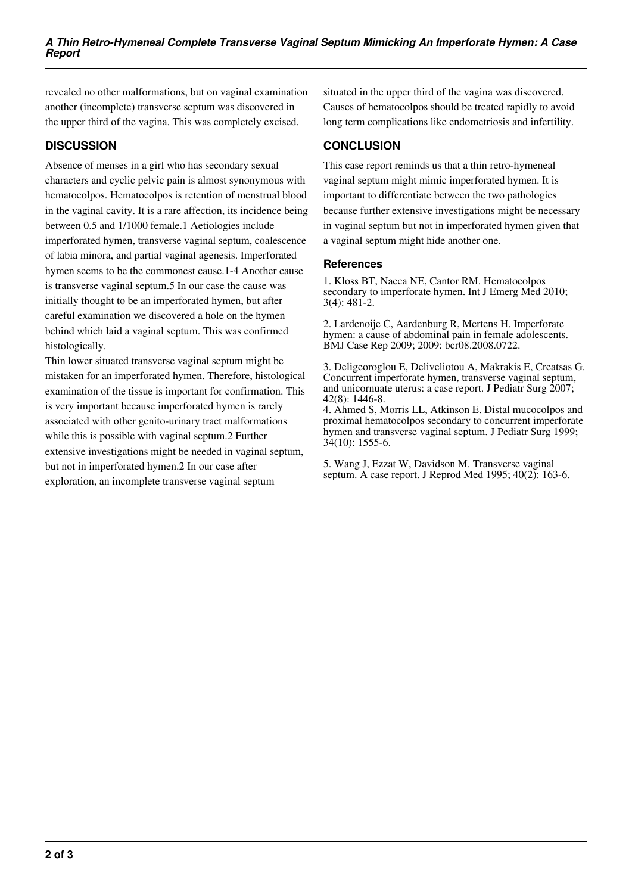revealed no other malformations, but on vaginal examination another (incomplete) transverse septum was discovered in the upper third of the vagina. This was completely excised.

## **DISCUSSION**

Absence of menses in a girl who has secondary sexual characters and cyclic pelvic pain is almost synonymous with hematocolpos. Hematocolpos is retention of menstrual blood in the vaginal cavity. It is a rare affection, its incidence being between 0.5 and 1/1000 female.1 Aetiologies include imperforated hymen, transverse vaginal septum, coalescence of labia minora, and partial vaginal agenesis. Imperforated hymen seems to be the commonest cause.1-4 Another cause is transverse vaginal septum.5 In our case the cause was initially thought to be an imperforated hymen, but after careful examination we discovered a hole on the hymen behind which laid a vaginal septum. This was confirmed histologically.

Thin lower situated transverse vaginal septum might be mistaken for an imperforated hymen. Therefore, histological examination of the tissue is important for confirmation. This is very important because imperforated hymen is rarely associated with other genito-urinary tract malformations while this is possible with vaginal septum.2 Further extensive investigations might be needed in vaginal septum, but not in imperforated hymen.2 In our case after exploration, an incomplete transverse vaginal septum

situated in the upper third of the vagina was discovered. Causes of hematocolpos should be treated rapidly to avoid long term complications like endometriosis and infertility.

# **CONCLUSION**

This case report reminds us that a thin retro-hymeneal vaginal septum might mimic imperforated hymen. It is important to differentiate between the two pathologies because further extensive investigations might be necessary in vaginal septum but not in imperforated hymen given that a vaginal septum might hide another one.

#### **References**

1. Kloss BT, Nacca NE, Cantor RM. Hematocolpos secondary to imperforate hymen. Int J Emerg Med 2010; 3(4): 481-2.

2. Lardenoije C, Aardenburg R, Mertens H. Imperforate hymen: a cause of abdominal pain in female adolescents. BMJ Case Rep 2009; 2009: bcr08.2008.0722.

3. Deligeoroglou E, Deliveliotou A, Makrakis E, Creatsas G. Concurrent imperforate hymen, transverse vaginal septum, and unicornuate uterus: a case report. J Pediatr Surg 2007; 42(8): 1446-8.

4. Ahmed S, Morris LL, Atkinson E. Distal mucocolpos and proximal hematocolpos secondary to concurrent imperforate hymen and transverse vaginal septum. J Pediatr Surg 1999; 34(10): 1555-6.

5. Wang J, Ezzat W, Davidson M. Transverse vaginal septum. A case report. J Reprod Med 1995; 40(2): 163-6.